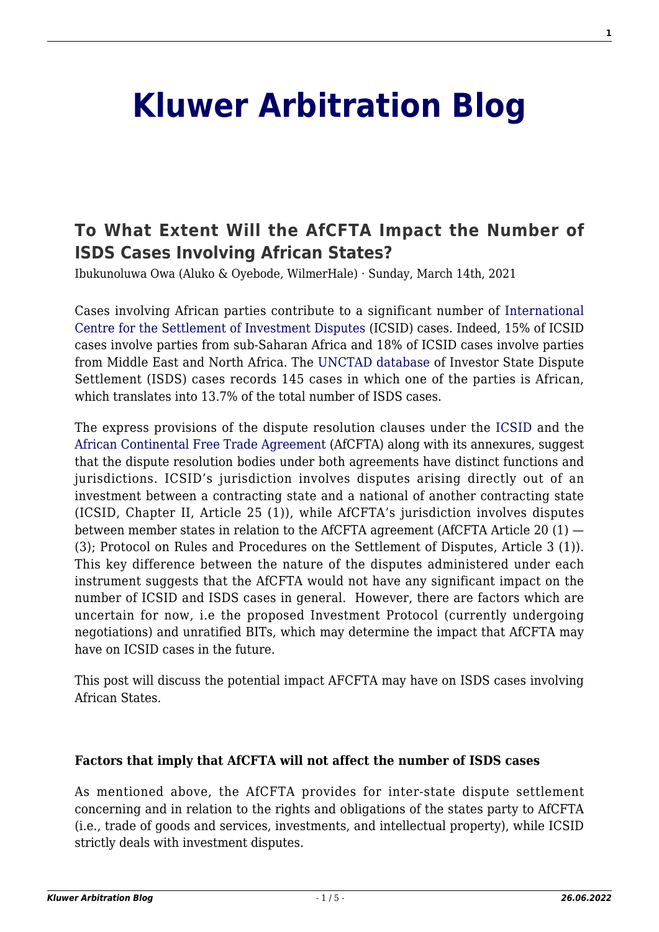# **[Kluwer Arbitration Blog](http://arbitrationblog.kluwerarbitration.com/)**

# **[To What Extent Will the AfCFTA Impact the Number of](http://arbitrationblog.kluwerarbitration.com/2021/03/14/to-what-extent-will-the-afcfta-impact-the-number-of-isds-cases-involving-african-states/) [ISDS Cases Involving African States?](http://arbitrationblog.kluwerarbitration.com/2021/03/14/to-what-extent-will-the-afcfta-impact-the-number-of-isds-cases-involving-african-states/)**

Ibukunoluwa Owa (Aluko & Oyebode, WilmerHale) · Sunday, March 14th, 2021

Cases involving African parties contribute to a significant number of [International](https://icsid.worldbank.org/resources/publications/icsid-caseload-statistics) [Centre for the Settlement of Investment Disputes](https://icsid.worldbank.org/resources/publications/icsid-caseload-statistics) (ICSID) cases. Indeed, 15% of ICSID cases involve parties from sub-Saharan Africa and 18% of ICSID cases involve parties from Middle East and North Africa. The [UNCTAD database](https://investmentpolicy.unctad.org/investment-dispute-settlement) of Investor State Dispute Settlement (ISDS) cases records 145 cases in which one of the parties is African, which translates into 13.7% of the total number of ISDS cases.

The express provisions of the dispute resolution clauses under the [ICSID](https://icsid.worldbank.org/resources/rules-and-regulations/convention/overview) and the [African Continental Free Trade Agreement](https://au.int/en/treaties/agreement-establishing-african-continental-free-trade-area) (AfCFTA) along with its annexures, suggest that the dispute resolution bodies under both agreements have distinct functions and jurisdictions. ICSID's jurisdiction involves disputes arising directly out of an investment between a contracting state and a national of another contracting state (ICSID, Chapter II, Article 25 (1)), while AfCFTA's jurisdiction involves disputes between member states in relation to the AfCFTA agreement (AfCFTA Article 20 (1) — (3); Protocol on Rules and Procedures on the Settlement of Disputes, Article 3 (1)). This key difference between the nature of the disputes administered under each instrument suggests that the AfCFTA would not have any significant impact on the number of ICSID and ISDS cases in general. However, there are factors which are uncertain for now, i.e the proposed Investment Protocol (currently undergoing negotiations) and unratified BITs, which may determine the impact that AfCFTA may have on ICSID cases in the future.

This post will discuss the potential impact AFCFTA may have on ISDS cases involving African States.

#### **Factors that imply that AfCFTA will not affect the number of ISDS cases**

As mentioned above, the AfCFTA provides for inter-state dispute settlement concerning and in relation to the rights and obligations of the states party to AfCFTA (i.e., trade of goods and services, investments, and intellectual property), while ICSID strictly deals with investment disputes.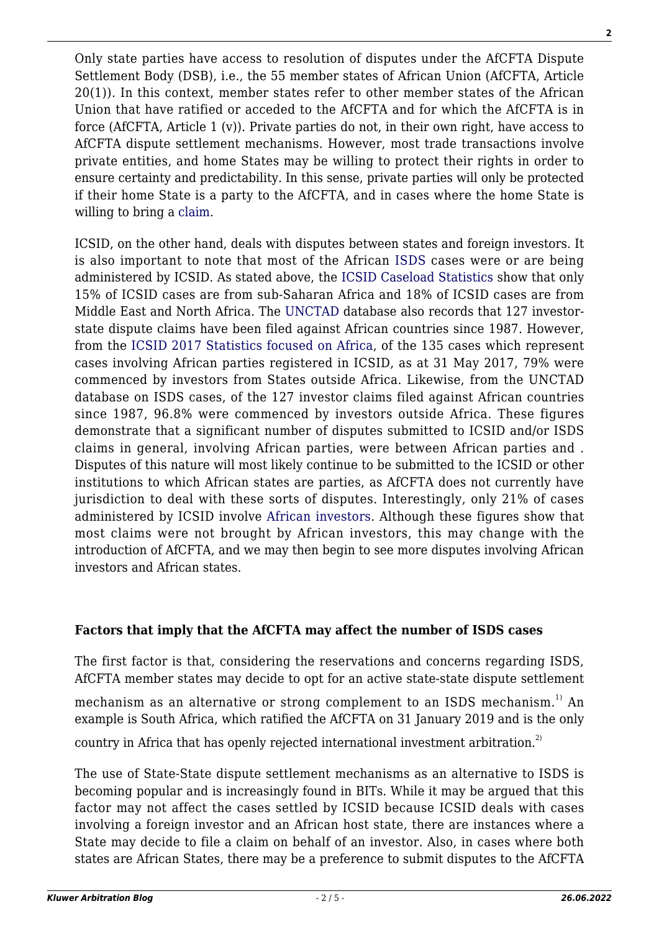Only state parties have access to resolution of disputes under the AfCFTA Dispute Settlement Body (DSB), i.e., the 55 member states of African Union (AfCFTA, Article 20(1)). In this context, member states refer to other member states of the African Union that have ratified or acceded to the AfCFTA and for which the AfCFTA is in force (AfCFTA, Article 1 (v)). Private parties do not, in their own right, have access to AfCFTA dispute settlement mechanisms. However, most trade transactions involve private entities, and home States may be willing to protect their rights in order to ensure certainty and predictability. In this sense, private parties will only be protected if their home State is a party to the AfCFTA, and in cases where the home State is willing to bring a [claim.](https://www.tralac.org/blog/article/14150-dispute-settlement-in-the-african-continental-free-trade-area.html)

ICSID, on the other hand, deals with disputes between states and foreign investors. It is also important to note that most of the African [ISDS](https://investmentpolicy.unctad.org/investment-dispute-settlement/advanced-search) cases were or are being administered by ICSID. As stated above, the [ICSID Caseload Statistics](https://icsid.worldbank.org/resources/publications/icsid-caseload-statistics) show that only 15% of ICSID cases are from sub-Saharan Africa and 18% of ICSID cases are from Middle East and North Africa. The [UNCTAD](https://investmentpolicy.unctad.org/investment-dispute-settlement/advanced-search) database also records that 127 investorstate dispute claims have been filed against African countries since 1987. However, from the [ICSID 2017 Statistics focused on Africa](https://icsid.worldbank.org/news-and-events/news-releases/new-issue-icsid-caseload-statistics-published-special-focus-africa), of the 135 cases which represent cases involving African parties registered in ICSID, as at 31 May 2017, 79% were commenced by investors from States outside Africa. Likewise, from the UNCTAD database on ISDS cases, of the 127 investor claims filed against African countries since 1987, 96.8% were commenced by investors outside Africa. These figures demonstrate that a significant number of disputes submitted to ICSID and/or ISDS claims in general, involving African parties, were between African parties and . Disputes of this nature will most likely continue to be submitted to the ICSID or other institutions to which African states are parties, as AfCFTA does not currently have jurisdiction to deal with these sorts of disputes. Interestingly, only 21% of cases administered by ICSID involve [African investors](https://icsid.worldbank.org/news-and-events/news-releases/new-issue-icsid-caseload-statistics-published-special-focus-africa). Although these figures show that most claims were not brought by African investors, this may change with the introduction of AfCFTA, and we may then begin to see more disputes involving African investors and African states.

### **Factors that imply that the AfCFTA may affect the number of ISDS cases**

The first factor is that, considering the reservations and concerns regarding ISDS, AfCFTA member states may decide to opt for an active state-state dispute settlement

mechanism as an alternative or strong complement to an ISDS mechanism.<sup>1)</sup> An example is South Africa, which ratified the AfCFTA on 31 January 2019 and is the only

country in Africa that has openly rejected international investment arbitration.<sup>2)</sup>

The use of State-State dispute settlement mechanisms as an alternative to ISDS is becoming popular and is increasingly found in BITs. While it may be argued that this factor may not affect the cases settled by ICSID because ICSID deals with cases involving a foreign investor and an African host state, there are instances where a State may decide to file a claim on behalf of an investor. Also, in cases where both states are African States, there may be a preference to submit disputes to the AfCFTA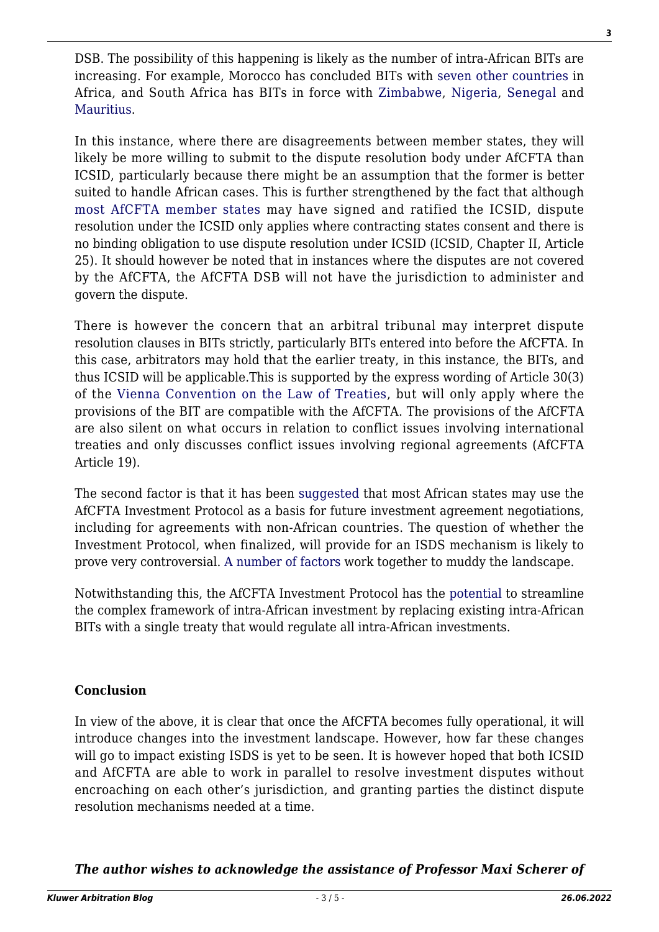DSB. The possibility of this happening is likely as the number of intra-African BITs are increasing. For example, Morocco has concluded BITs with [seven other countries](https://investmentpolicy.unctad.org/international-investment-agreements/countries/142/morocco) in Africa, and South Africa has BITs in force with [Zimbabwe,](https://investmentpolicy.unctad.org/international-investment-agreements/treaties/bilateral-investment-treaties/2948/south-africa---zimbabwe-bit-2009-) [Nigeria,](https://investmentpolicy.unctad.org/international-investment-agreements/treaties/bilateral-investment-treaties/3615/nigeria---south-africa-bit-2000-) [Senegal](https://investmentpolicy.unctad.org/international-investment-agreements/treaties/bilateral-investment-treaties/2881/senegal---south-africa-bit-1998-) and [Mauritius.](https://investmentpolicy.unctad.org/international-investment-agreements/treaties/bilateral-investment-treaties/2527/mauritius---south-africa-bit-1998-)

In this instance, where there are disagreements between member states, they will likely be more willing to submit to the dispute resolution body under AfCFTA than ICSID, particularly because there might be an assumption that the former is better suited to handle African cases. This is further strengthened by the fact that although [most AfCFTA member states](https://icsid.worldbank.org/about/member-states/database-of-member-states) may have signed and ratified the ICSID, dispute resolution under the ICSID only applies where contracting states consent and there is no binding obligation to use dispute resolution under ICSID (ICSID, Chapter II, Article 25). It should however be noted that in instances where the disputes are not covered by the AfCFTA, the AfCFTA DSB will not have the jurisdiction to administer and govern the dispute.

There is however the concern that an arbitral tribunal may interpret dispute resolution clauses in BITs strictly, particularly BITs entered into before the AfCFTA. In this case, arbitrators may hold that the earlier treaty, in this instance, the BITs, and thus ICSID will be applicable.This is supported by the express wording of Article 30(3) of the [Vienna Convention on the Law of Treaties,](https://www.trans-lex.org/500600/_/vienna-convention-on-the-law-of-treaties-of-1969/) but will only apply where the provisions of the BIT are compatible with the AfCFTA. The provisions of the AfCFTA are also silent on what occurs in relation to conflict issues involving international treaties and only discusses conflict issues involving regional agreements (AfCFTA Article 19).

The second factor is that it has been [suggested](http://arbitrationblog.kluwerarbitration.com/2020/09/24/the-new-landmark-african-investment-protocol-a-quantum-leap-for-african-investment-policy-making/) that most African states may use the AfCFTA Investment Protocol as a basis for future investment agreement negotiations, including for agreements with non-African countries. The question of whether the Investment Protocol, when finalized, will provide for an ISDS mechanism is likely to prove very controversial. [A number of factors](http://arbitrationblog.kluwerarbitration.com/2019/09/29/dispute-settlement-under-the-african-continental-free-trade-agreement-what-do-investors-need-to-know/) work together to muddy the landscape.

Notwithstanding this, the AfCFTA Investment Protocol has the [potential](http://arbitrationblog.kluwerarbitration.com/2020/09/24/the-new-landmark-african-investment-protocol-a-quantum-leap-for-african-investment-policy-making/) to streamline the complex framework of intra-African investment by replacing existing intra-African BITs with a single treaty that would regulate all intra-African investments.

## **Conclusion**

In view of the above, it is clear that once the AfCFTA becomes fully operational, it will introduce changes into the investment landscape. However, how far these changes will go to impact existing ISDS is yet to be seen. It is however hoped that both ICSID and AfCFTA are able to work in parallel to resolve investment disputes without encroaching on each other's jurisdiction, and granting parties the distinct dispute resolution mechanisms needed at a time.

*The author wishes to acknowledge the assistance of Professor Maxi Scherer of*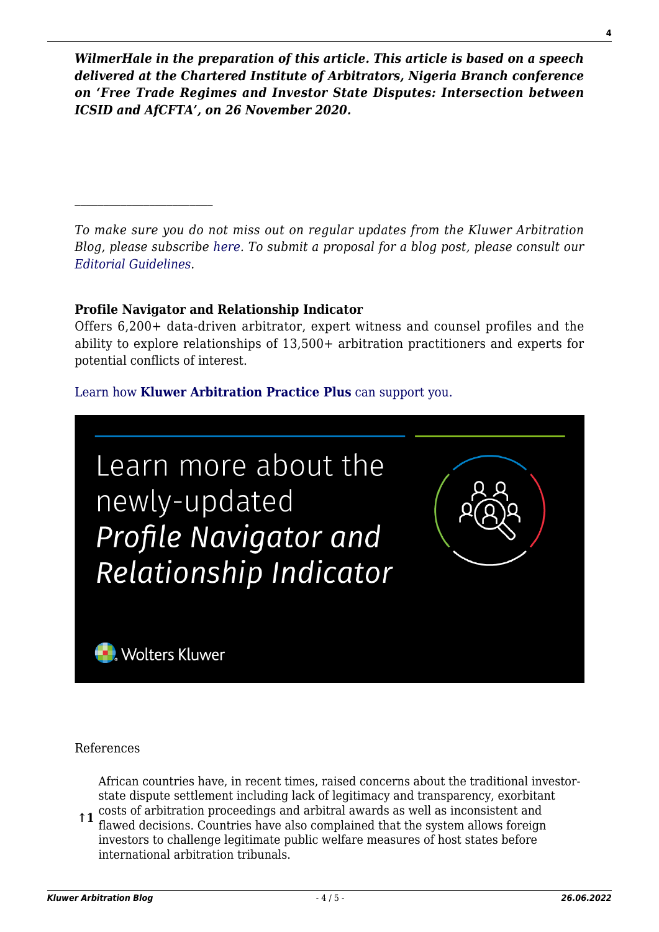*WilmerHale in the preparation of this article. This article is based on a speech delivered at the Chartered Institute of Arbitrators, Nigeria Branch conference on 'Free Trade Regimes and Investor State Disputes: Intersection between ICSID and AfCFTA', on 26 November 2020.*

*To make sure you do not miss out on regular updates from the Kluwer Arbitration Blog, please subscribe [here](http://arbitrationblog.kluwerarbitration.com/newsletter/). To submit a proposal for a blog post, please consult our [Editorial Guidelines.](http://arbitrationblog.kluwerarbitration.com/editorial-guidelines/)*

#### **Profile Navigator and Relationship Indicator**

Offers 6,200+ data-driven arbitrator, expert witness and counsel profiles and the ability to explore relationships of 13,500+ arbitration practitioners and experts for potential conflicts of interest.

### [Learn how](https://www.wolterskluwer.com/en/solutions/kluwerarbitration/practiceplus?utm_source=arbitrationblog&utm_medium=articleCTA&utm_campaign=article-banner) **[Kluwer Arbitration Practice Plus](https://www.wolterskluwer.com/en/solutions/kluwerarbitration/practiceplus?utm_source=arbitrationblog&utm_medium=articleCTA&utm_campaign=article-banner)** [can support you.](https://www.wolterskluwer.com/en/solutions/kluwerarbitration/practiceplus?utm_source=arbitrationblog&utm_medium=articleCTA&utm_campaign=article-banner)



References

African countries have, in recent times, raised concerns about the traditional investorstate dispute settlement including lack of legitimacy and transparency, exorbitant

**↑1** costs of arbitration proceedings and arbitral awards as well as inconsistent and flawed decisions. Countries have also complained that the system allows foreign investors to challenge legitimate public welfare measures of host states before international arbitration tribunals.